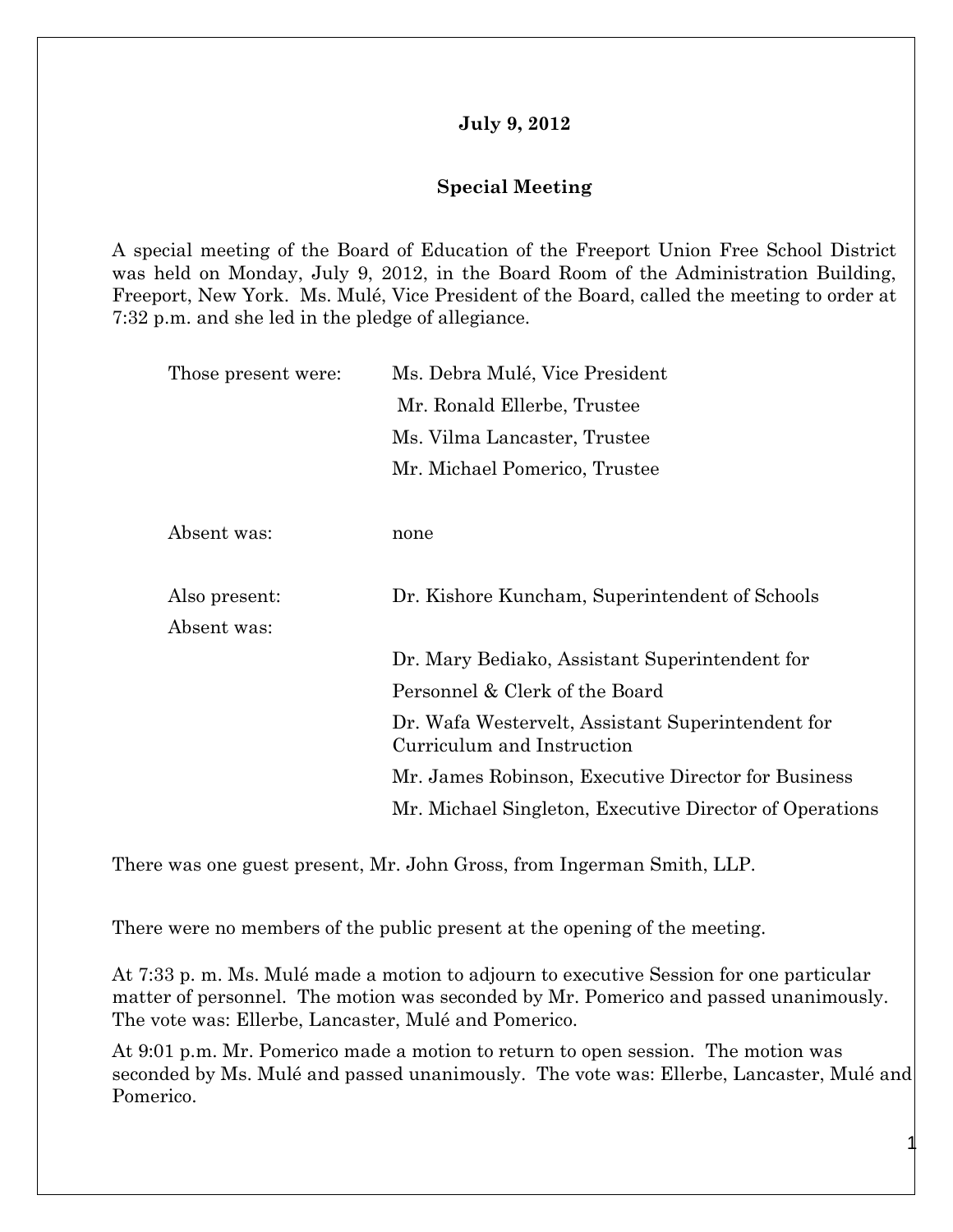## **July 9, 2012**

## **Special Meeting**

A special meeting of the Board of Education of the Freeport Union Free School District was held on Monday, July 9, 2012, in the Board Room of the Administration Building, Freeport, New York. Ms. Mulé, Vice President of the Board, called the meeting to order at 7:32 p.m. and she led in the pledge of allegiance.

| Those present were: | Ms. Debra Mulé, Vice President                                                  |
|---------------------|---------------------------------------------------------------------------------|
|                     | Mr. Ronald Ellerbe, Trustee                                                     |
|                     | Ms. Vilma Lancaster, Trustee                                                    |
|                     | Mr. Michael Pomerico, Trustee                                                   |
|                     |                                                                                 |
| Absent was:         | none                                                                            |
|                     |                                                                                 |
| Also present:       | Dr. Kishore Kuncham, Superintendent of Schools                                  |
| Absent was:         |                                                                                 |
|                     | Dr. Mary Bediako, Assistant Superintendent for                                  |
|                     | Personnel & Clerk of the Board                                                  |
|                     | Dr. Wafa Westervelt, Assistant Superintendent for<br>Curriculum and Instruction |
|                     | Mr. James Robinson, Executive Director for Business                             |
|                     | Mr. Michael Singleton, Executive Director of Operations                         |

There was one guest present, Mr. John Gross, from Ingerman Smith, LLP.

There were no members of the public present at the opening of the meeting.

At 7:33 p. m. Ms. Mulé made a motion to adjourn to executive Session for one particular matter of personnel. The motion was seconded by Mr. Pomerico and passed unanimously. The vote was: Ellerbe, Lancaster, Mulé and Pomerico.

At 9:01 p.m. Mr. Pomerico made a motion to return to open session. The motion was seconded by Ms. Mulé and passed unanimously. The vote was: Ellerbe, Lancaster, Mulé and Pomerico.

1